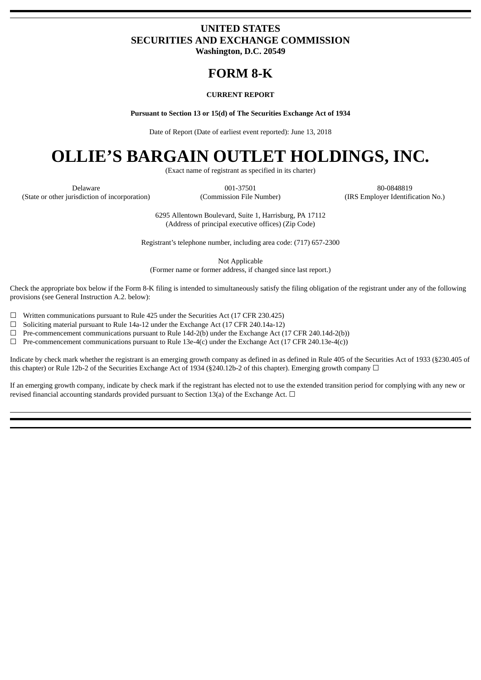### **UNITED STATES SECURITIES AND EXCHANGE COMMISSION Washington, D.C. 20549**

## **FORM 8-K**

#### **CURRENT REPORT**

**Pursuant to Section 13 or 15(d) of The Securities Exchange Act of 1934**

Date of Report (Date of earliest event reported): June 13, 2018

# **OLLIE'S BARGAIN OUTLET HOLDINGS, INC.**

(Exact name of registrant as specified in its charter)

Delaware 001-37501 80-0848819

(State or other jurisdiction of incorporation) (Commission File Number) (IRS Employer Identification No.)

6295 Allentown Boulevard, Suite 1, Harrisburg, PA 17112 (Address of principal executive offices) (Zip Code)

Registrant's telephone number, including area code: (717) 657-2300

Not Applicable (Former name or former address, if changed since last report.)

Check the appropriate box below if the Form 8-K filing is intended to simultaneously satisfy the filing obligation of the registrant under any of the following provisions (see General Instruction A.2. below):

☐ Written communications pursuant to Rule 425 under the Securities Act (17 CFR 230.425)

 $\Box$  Soliciting material pursuant to Rule 14a-12 under the Exchange Act (17 CFR 240.14a-12)

 $\Box$  Pre-commencement communications pursuant to Rule 14d-2(b) under the Exchange Act (17 CFR 240.14d-2(b))

 $\Box$  Pre-commencement communications pursuant to Rule 13e-4(c) under the Exchange Act (17 CFR 240.13e-4(c))

Indicate by check mark whether the registrant is an emerging growth company as defined in as defined in Rule 405 of the Securities Act of 1933 (§230.405 of this chapter) or Rule 12b-2 of the Securities Exchange Act of 1934 (§240.12b-2 of this chapter). Emerging growth company  $\Box$ 

If an emerging growth company, indicate by check mark if the registrant has elected not to use the extended transition period for complying with any new or revised financial accounting standards provided pursuant to Section 13(a) of the Exchange Act.  $\Box$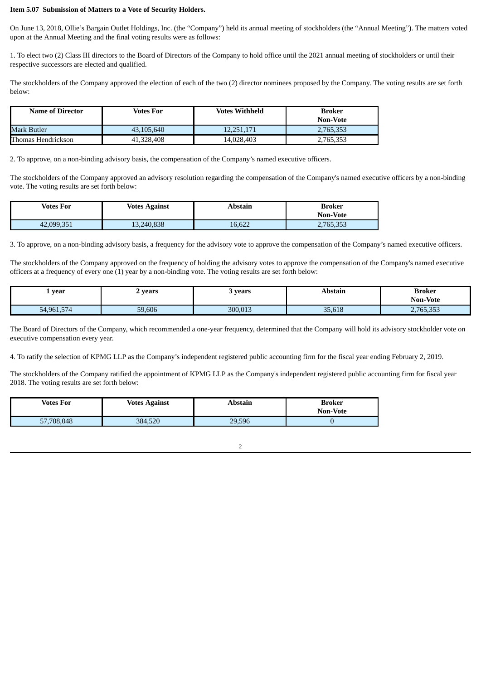### **Item 5.07 Submission of Matters to a Vote of Security Holders.**

On June 13, 2018, Ollie's Bargain Outlet Holdings, Inc. (the "Company") held its annual meeting of stockholders (the "Annual Meeting"). The matters voted upon at the Annual Meeting and the final voting results were as follows:

1. To elect two (2) Class III directors to the Board of Directors of the Company to hold office until the 2021 annual meeting of stockholders or until their respective successors are elected and qualified.

The stockholders of the Company approved the election of each of the two (2) director nominees proposed by the Company. The voting results are set forth below:

| <b>Name of Director</b> | Votes For  | <b>Votes Withheld</b> | Broker<br><b>Non-Vote</b> |
|-------------------------|------------|-----------------------|---------------------------|
| Mark Butler             | 43,105,640 | 12.251.171            | 2,765,353                 |
| Thomas Hendrickson      | 41.328.408 | 14.028.403            | 2,765,353                 |

2. To approve, on a non-binding advisory basis, the compensation of the Company's named executive officers.

The stockholders of the Company approved an advisory resolution regarding the compensation of the Company's named executive officers by a non-binding vote. The voting results are set forth below:

| <b>Votes For</b> | <b>Votes Against</b> | Abstain | Broker          |
|------------------|----------------------|---------|-----------------|
|                  |                      |         | <b>Non-Vote</b> |
| 42,099,351       | 13,240,838           | 16,622  | 2,765,353       |

3. To approve, on a non-binding advisory basis, a frequency for the advisory vote to approve the compensation of the Company's named executive officers.

The stockholders of the Company approved on the frequency of holding the advisory votes to approve the compensation of the Company's named executive officers at a frequency of every one (1) year by a non-binding vote. The voting results are set forth below:

| year                  | years  | years   | Abstair | Broker<br><b>Non-Vote</b><br>$\mathbf{r}$ |
|-----------------------|--------|---------|---------|-------------------------------------------|
| F74<br>54.961<br>17 Z | 59.606 | 300.013 | 35,618  | 2.765.353                                 |

The Board of Directors of the Company, which recommended a one-year frequency, determined that the Company will hold its advisory stockholder vote on executive compensation every year.

4. To ratify the selection of KPMG LLP as the Company's independent registered public accounting firm for the fiscal year ending February 2, 2019.

The stockholders of the Company ratified the appointment of KPMG LLP as the Company's independent registered public accounting firm for fiscal year 2018. The voting results are set forth below:

| Votes For  | <b>Votes Against</b> | Abstain | Broker<br><b>Non-Vote</b> |
|------------|----------------------|---------|---------------------------|
| 57,708,048 | 384,520              | 29,596  |                           |

2